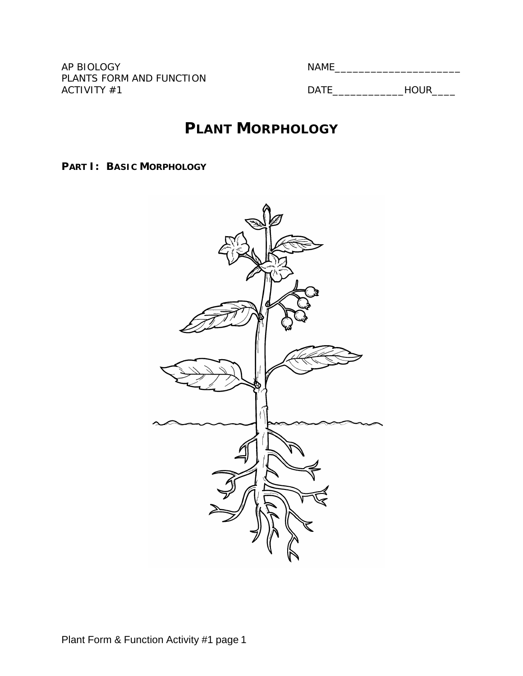PLANTS FORM AND FUNCTION ACTIVITY #1 DATE\_\_\_\_\_\_\_\_\_\_\_\_HOUR\_\_\_\_

AP BIOLOGY NAME\_\_\_\_\_\_\_\_\_\_\_\_\_\_\_\_\_\_\_\_\_

# **PLANT MORPHOLOGY**

**PART I: BASIC MORPHOLOGY**

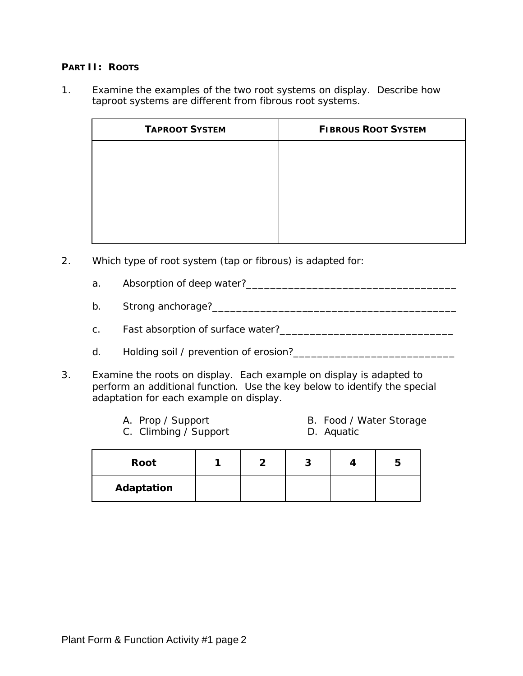#### **PART II: ROOTS**

1. Examine the examples of the two root systems on display. Describe how taproot systems are different from fibrous root systems.

| <b>TAPROOT SYSTEM</b> | <b>FIBROUS ROOT SYSTEM</b> |
|-----------------------|----------------------------|
|                       |                            |
|                       |                            |
|                       |                            |
|                       |                            |
|                       |                            |

- 2. Which type of root system (tap or fibrous) is adapted for:
	- a. Absorption of deep water?\_\_\_\_\_\_\_\_\_\_\_\_\_\_\_\_\_\_\_\_\_\_\_\_\_\_\_\_\_\_\_\_\_\_\_
	- b. Strong anchorage?\_\_\_\_\_\_\_\_\_\_\_\_\_\_\_\_\_\_\_\_\_\_\_\_\_\_\_\_\_\_\_\_\_\_\_\_\_\_\_\_\_
	- c. Fast absorption of surface water?\_\_\_\_\_\_\_\_\_\_\_\_\_\_\_\_\_\_\_\_\_\_\_\_\_\_\_\_\_
	- d. Holding soil / prevention of erosion?\_\_\_\_\_\_\_\_\_\_\_\_\_\_\_\_\_\_\_\_\_\_\_\_\_\_\_
- 3. Examine the roots on display. Each example on display is adapted to perform an additional function. Use the key below to identify the special adaptation for each example on display.
	-
	- A. Prop / Support B. Food / Water Storage
	- C. Climbing / Support D. Aquatic
- 

| Root       |  | ÷ | э |
|------------|--|---|---|
| Adaptation |  |   |   |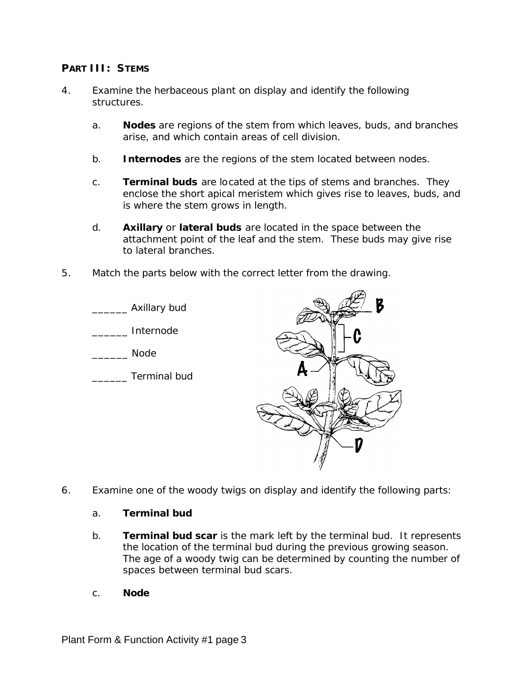## **PART III: STEMS**

- 4. Examine the herbaceous plant on display and identify the following structures.
	- a. **Nodes** are regions of the stem from which leaves, buds, and branches arise, and which contain areas of cell division.
	- b. **Internodes** are the regions of the stem located between nodes.
	- c. **Terminal buds** are located at the tips of stems and branches. They enclose the short apical meristem which gives rise to leaves, buds, and is where the stem grows in length.
	- d. **Axillary** or **lateral buds** are located in the space between the attachment point of the leaf and the stem. These buds may give rise to lateral branches.
- 5. Match the parts below with the correct letter from the drawing.



6. Examine one of the woody twigs on display and identify the following parts:

#### a. **Terminal bud**

- b. **Terminal bud scar** is the mark left by the terminal bud. It represents the location of the terminal bud during the previous growing season. The age of a woody twig can be determined by counting the number of spaces between terminal bud scars.
- c. **Node**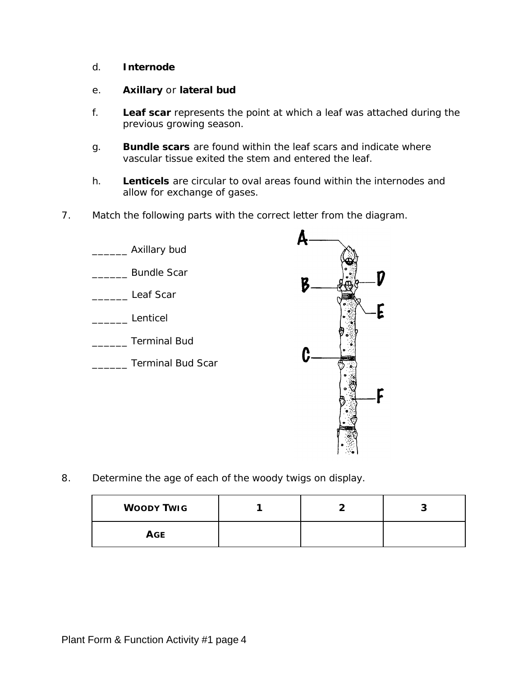d. **Internode**

#### e. **Axillary** or **lateral bud**

- f. **Leaf scar** represents the point at which a leaf was attached during the previous growing season.
- g. **Bundle scars** are found within the leaf scars and indicate where vascular tissue exited the stem and entered the leaf.
- h. **Lenticels** are circular to oval areas found within the internodes and allow for exchange of gases.
- 7. Match the following parts with the correct letter from the diagram.



8. Determine the age of each of the woody twigs on display.

| <b>WOODY TWIG</b> |  | ີ |
|-------------------|--|---|
| <b>AGE</b>        |  |   |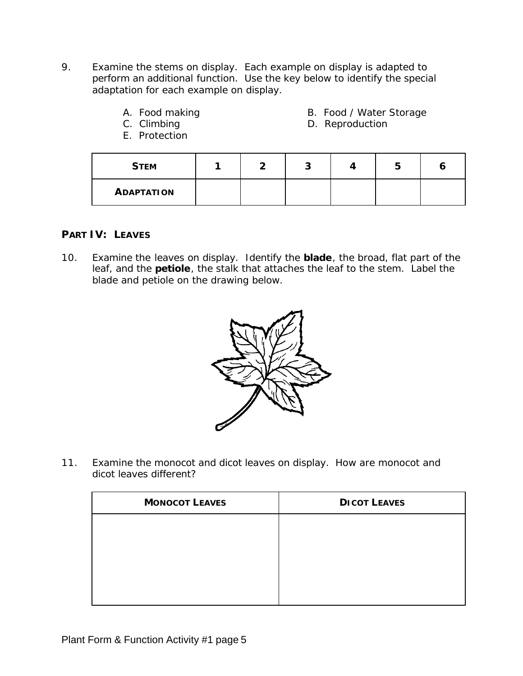- 9. Examine the stems on display. Each example on display is adapted to perform an additional function. Use the key below to identify the special adaptation for each example on display.
	- -
	- E. Protection
	- A. Food making **B. Food / Water Storage**
	- C. Climbing C. Climbing C. Climbing C. Climbing C. P. Reproduction

| <b>STEM</b>       |  |  |  |
|-------------------|--|--|--|
| <b>ADAPTATION</b> |  |  |  |

### **PART IV: LEAVES**

10. Examine the leaves on display. Identify the **blade**, the broad, flat part of the leaf, and the **petiole**, the stalk that attaches the leaf to the stem. Label the blade and petiole on the drawing below.



11. Examine the monocot and dicot leaves on display. How are monocot and dicot leaves different?

| <b>MONOCOT LEAVES</b> | <b>DICOT LEAVES</b> |
|-----------------------|---------------------|
|                       |                     |
|                       |                     |
|                       |                     |
|                       |                     |
|                       |                     |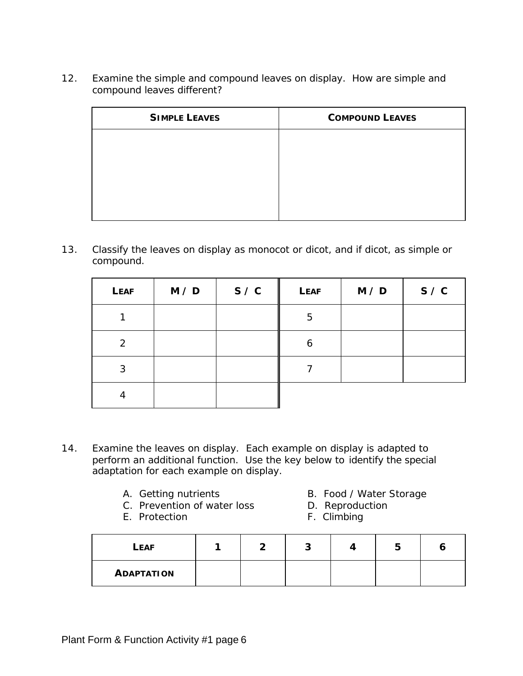12. Examine the simple and compound leaves on display. How are simple and compound leaves different?

| <b>SIMPLE LEAVES</b> | <b>COMPOUND LEAVES</b> |
|----------------------|------------------------|
|                      |                        |
|                      |                        |
|                      |                        |
|                      |                        |
|                      |                        |

13. Classify the leaves on display as monocot or dicot, and if dicot, as simple or compound.

| <b>LEAF</b> | M / D | S / C | <b>LEAF</b> | M / D | S / C |
|-------------|-------|-------|-------------|-------|-------|
|             |       |       | 5           |       |       |
| 2           |       |       | 6           |       |       |
| 3           |       |       |             |       |       |
| 4           |       |       |             |       |       |

- 14. Examine the leaves on display. Each example on display is adapted to perform an additional function. Use the key below to identify the special adaptation for each example on display.
	-
	- C. Prevention of water loss D. Reproduction
	- E. Protection F. Climbing
	- A. Getting nutrients **B. Food / Water Storage** 
		-
		-

| <b>LEAF</b>       |  |  | - |  |
|-------------------|--|--|---|--|
| <b>ADAPTATION</b> |  |  |   |  |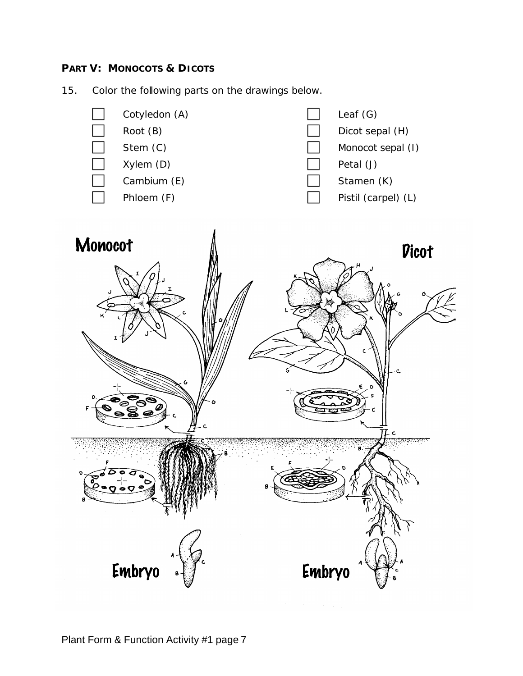## **PART V: MONOCOTS & DICOTS**

15. Color the following parts on the drawings below.